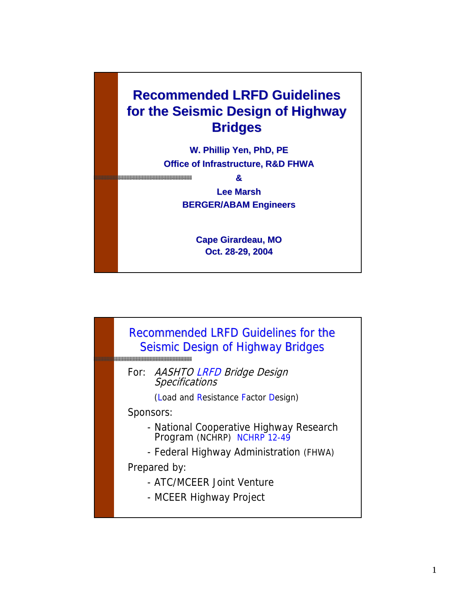

**Cape Girardeau, MO Oct. 28-29, 2004**

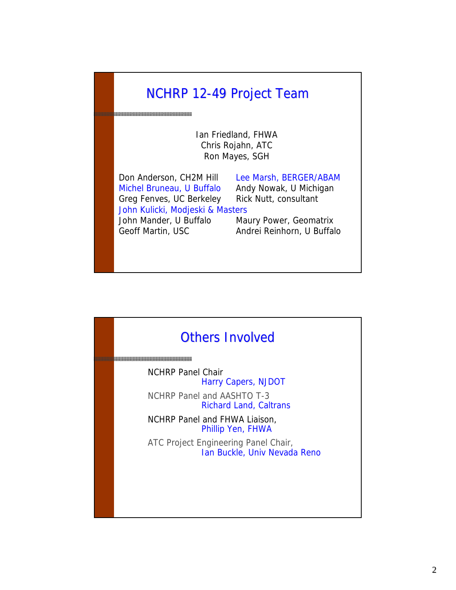# NCHRP 12-49 Project Team

an kan <mark>asasasa sa sa sa sa sa sa sa sa sa</mark> sa

Ian Friedland, FHWA Chris Rojahn, ATC Ron Mayes, SGH

Don Anderson, CH2M Hill Lee Marsh, BERGER/ABAM Michel Bruneau, U Buffalo Andy Nowak, U Michigan Greg Fenves, UC Berkeley Rick Nutt, consultant John Kulicki, Modjeski & Masters John Mander, U Buffalo Maury Power, Geomatrix Geoff Martin, USC **Andrei Reinhorn, U Buffalo** 

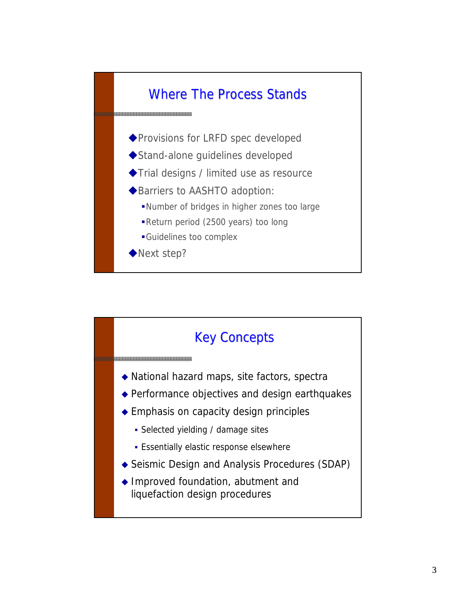

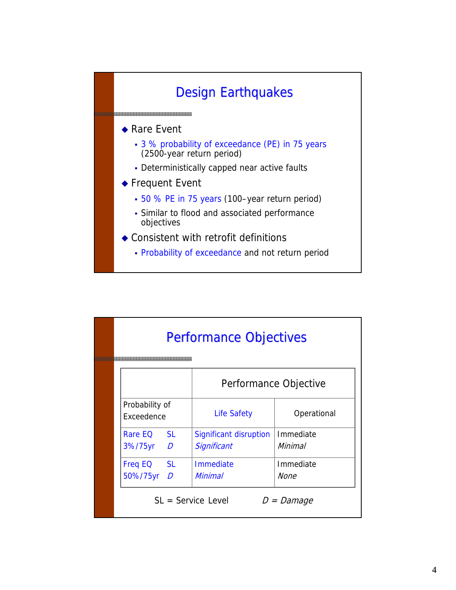

|                              |                | <b>Performance Objectives</b> |              |  |  |  |
|------------------------------|----------------|-------------------------------|--------------|--|--|--|
|                              |                | Performance Objective         |              |  |  |  |
| Probability of<br>Exceedence |                | <b>Life Safety</b>            | Operational  |  |  |  |
| Rare EQ                      | SI.            | Significant disruption        | Immediate    |  |  |  |
| 3%/75yr                      | $\overline{D}$ | Significant                   | Minimal      |  |  |  |
| <b>Freq EQ</b>               | <b>SL</b>      | <b>Immediate</b>              | Immediate    |  |  |  |
| 50%/75yr                     | $\overline{D}$ | Minimal                       | None         |  |  |  |
|                              |                | $SL =$ Service Level          | $D =$ Damage |  |  |  |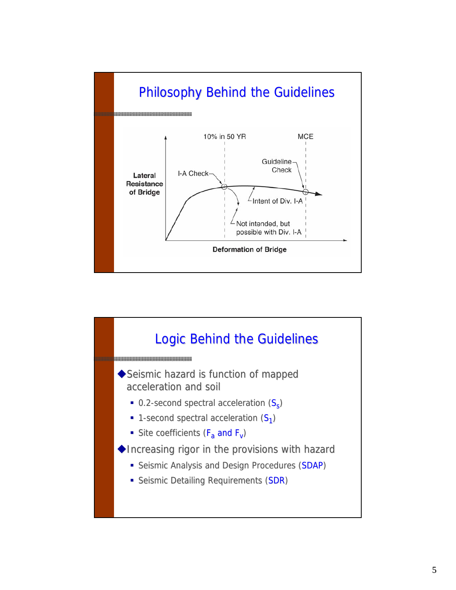

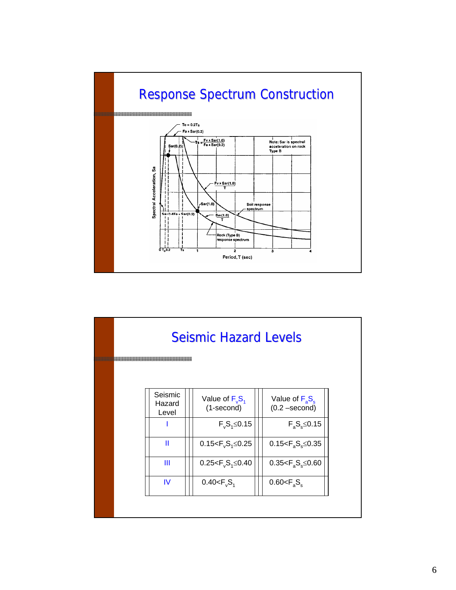

|  |                            | <b>Seismic Hazard Levels</b>        |                                                   |  |
|--|----------------------------|-------------------------------------|---------------------------------------------------|--|
|  |                            |                                     |                                                   |  |
|  | Seismic<br>Hazard<br>Level | Value of $F_{v}S_{1}$<br>(1-second) | Value of $F_{\rm a}S_{\rm s}$<br>$(0.2 - second)$ |  |
|  |                            | $F_vS_1 \leq 0.15$                  | $F_aS_s \leq 0.15$                                |  |
|  | Ш                          | 0.15 $-F_vS_1 \le 0.25$             | 0.15 $\leq$ $F_a S_s \leq 0.35$                   |  |
|  | Ш                          | $0.25 < F_v S_1 \le 0.40$           | $0.35 < F_a S_s \leq 0.60$                        |  |
|  | IV                         | $0.40 < F_v S_1$                    | $0.60 < F_s S_s$                                  |  |
|  |                            |                                     |                                                   |  |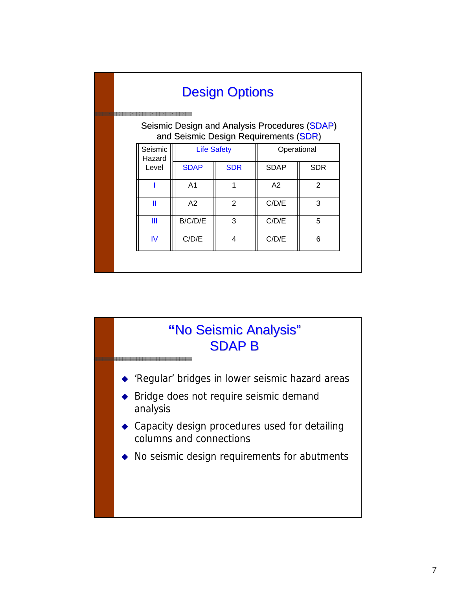|                                                                                        |                   |                | <b>Design Options</b> |             |            |  |  |
|----------------------------------------------------------------------------------------|-------------------|----------------|-----------------------|-------------|------------|--|--|
| Seismic Design and Analysis Procedures (SDAP)<br>and Seismic Design Requirements (SDR) |                   |                |                       |             |            |  |  |
|                                                                                        | Seismic<br>Hazard |                | <b>Life Safety</b>    | Operational |            |  |  |
|                                                                                        | Level             | <b>SDAP</b>    | <b>SDR</b>            | <b>SDAP</b> | <b>SDR</b> |  |  |
|                                                                                        |                   | A <sub>1</sub> | 1                     | A2          | 2          |  |  |
|                                                                                        | Ш                 | A2             | 2                     | C/D/E       | 3          |  |  |
|                                                                                        | Ш                 | B/C/D/E        | 3                     | C/D/E       | 5          |  |  |
|                                                                                        | <b>IV</b>         | C/D/E          | 4                     | C/D/E       | 6          |  |  |
|                                                                                        |                   |                |                       |             |            |  |  |

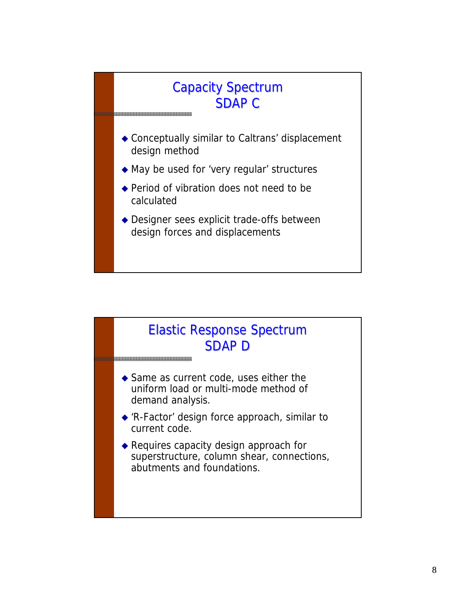#### Capacity Spectrum SDAP C

- Conceptually similar to Caltrans' displacement design method
- May be used for 'very regular' structures
- ◆ Period of vibration does not need to be calculated
- Designer sees explicit trade-offs between design forces and displacements

### Elastic Response Spectrum SDAP D

◆ Same as current code, uses either the uniform load or multi-mode method of demand analysis.

- ◆ 'R-Factor' design force approach, similar to current code.
- ◆ Requires capacity design approach for superstructure, column shear, connections, abutments and foundations.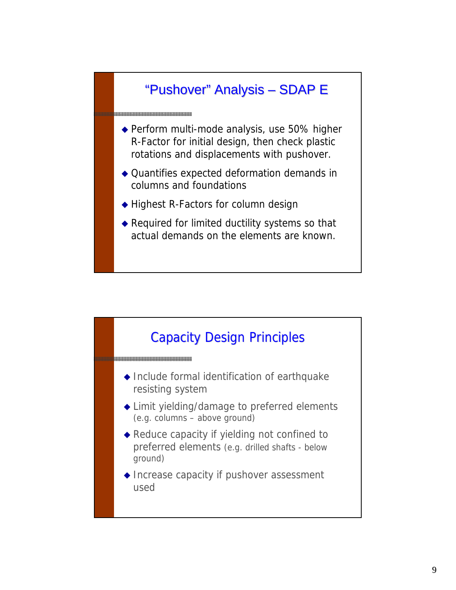# "Pushover" Analysis – SDAP E

◆ Perform multi-mode analysis, use 50% higher R-Factor for initial design, then check plastic rotations and displacements with pushover.

- Quantifies expected deformation demands in columns and foundations
- ◆ Highest R-Factors for column design

333333333333333333333333333333

◆ Required for limited ductility systems so that actual demands on the elements are known.

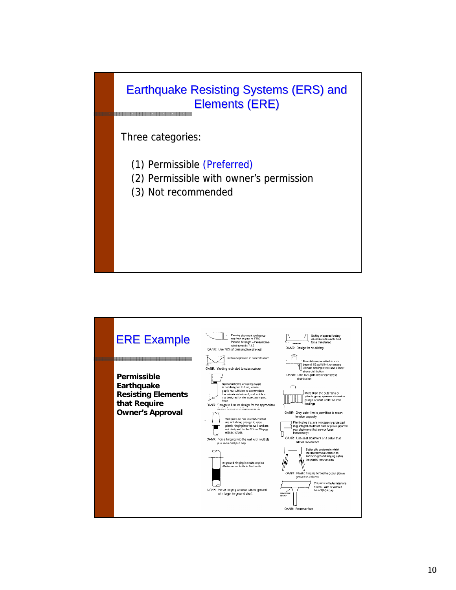

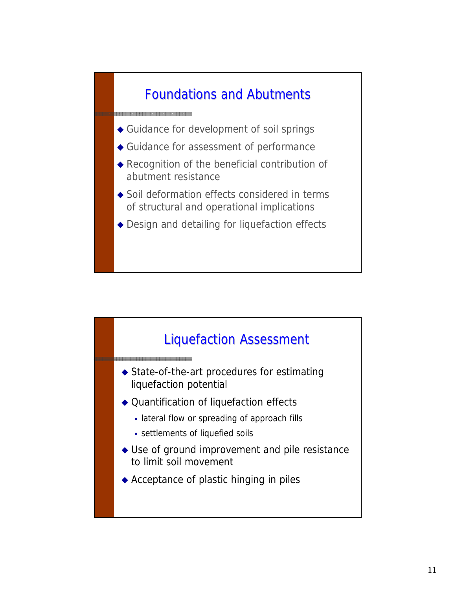# Foundations and Abutments Foundations and Abutments

Guidance for development of soil springs

asaasaasaasaasaasaasaasaasaa

- Guidance for assessment of performance
- Recognition of the beneficial contribution of abutment resistance
- ◆ Soil deformation effects considered in terms of structural and operational implications
- ◆ Design and detailing for liquefaction effects

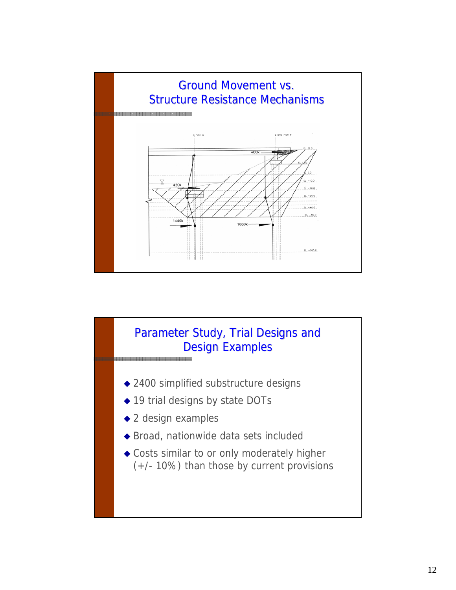

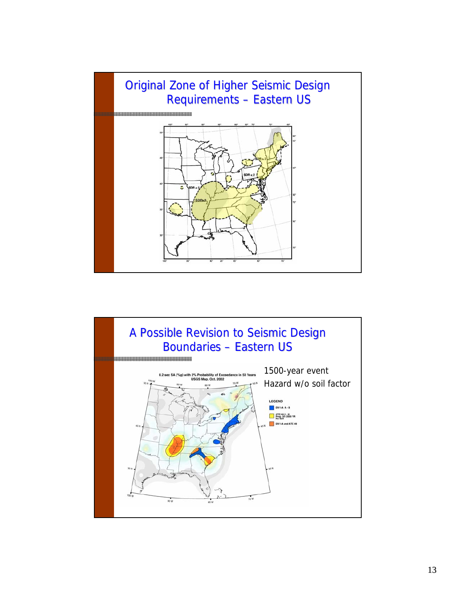